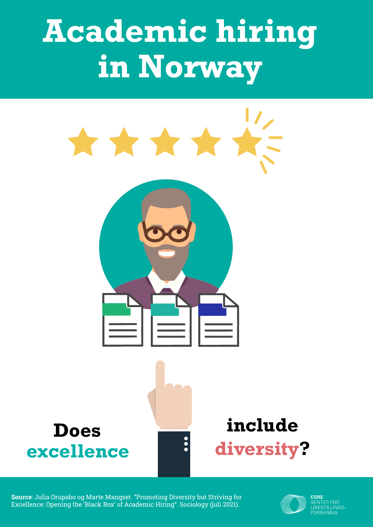# **Academic hiring in Norway**



Source: Julia Orupabo og Marte Mangset. "Promoting Diversity but Striving for Excellence: Opening the 'Black Box' of Academic Hiring". Sociology (juli 2021).

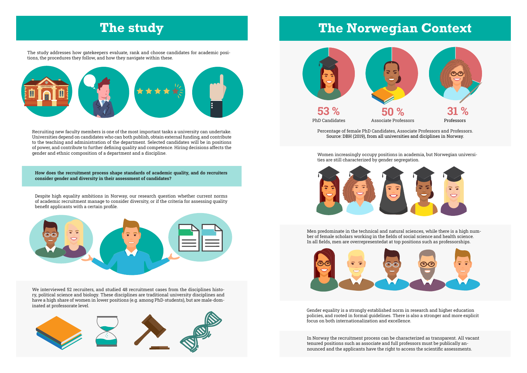The study addresses how gatekeepers evaluate, rank and choose candidates for academic positions, the procedures they follow, and how they navigate within these.

> Men predominate in the technical and natural sciences, while there is a high number of female scholars working in the fields of social science and health science. In all fields, men are overrepresentedat at top positions such as professorships.



## **The study The Norwegian Context**

Women increasingly occupy positions in academia, but Norwegian universities are still characterized by gender segregation.



Gender equality is a strongly established norm in research and higher education policies, and rooted in formal guidelines. There is also a stronger and more explicit focus on both internationalization and excellence.

In Norway the recruitment process can be characterized as transparent. All vacant tenured positions such as associate and full professors must be publically announced and the applicants have the right to access the scientific assessments.

Percentage of female PhD Candidates, Associate Professors and Professors. Source: DBH (2019), from all universities and diciplines in Norway.





Recruiting new faculty members is one of the most important tasks a university can undertake. Universities depend on candidates who can both publish, obtain external funding, and contribute to the teaching and administration of the department. Selected candidates will be in positions of power, and contribute to further defining quality and competence. Hiring decisions affects the gender and ethnic composition of a department and a discipline.

How does the recruitment process shape standards of academic quality, and do recruiters consider gender and diversity in their assessment of candidates?

Despite high equality ambitions in Norway, our research question whether current norms of academic recruitment manage to consider diversity, or if the criteria for assessing quality benefit applicants with a certain profile.



We interviewed 52 recruiters, and studied 48 recruitment cases from the disciplines history, political science and biology. These disciplines are traditional university disciplines and have a high share of women in lower positions (e.g. among PhD-students), but are male-dominated at professorate level.



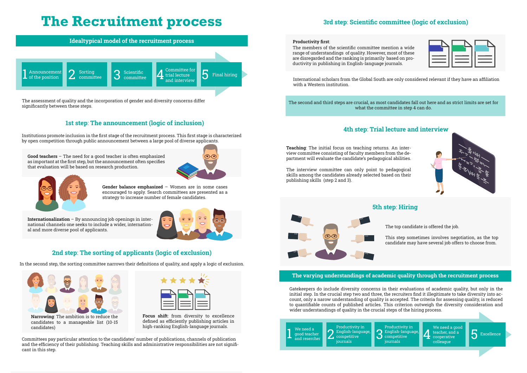## **The Recruitment process**

#### The varying understandings of academic quality through the recruitment process

#### 1st step: The announcement (logic of inclusion)

### 3rd step: Scientific committee (logic of exclusion)

### 4th step: Trial lecture and interview



#### 2nd step: The sorting of applicants (logic of exclusion)







- 
- 



Gatekeepers do include diversity concerns in their evaluations of academic quality, but only in the initial step. In the crucial step two and three, the recruiters find it illegitimate to take diversity into account, only a narow understanding of quality is accepted. The criteria for assessing quality, is reduced to quantifiable counts of published articles. This criterion outweigh the diversity consideration and wider understandings of quality in the crucial steps of the hiring process.

The assessment of quality and the incorporation of gender and diversity concerns differ significantly between these steps.

Institutions promote inclusion in the first stage of the recruitment process. This first stage is characterized by open competition through public announcement between a large pool of diverse applicants.

Productivity first:

Teaching: The initial focus on teaching returns. An interview committee consisting of faculty members from the department will evaluate the candidate's pedagogical abilities.

The top candidate is offered the job.

This step sometimes involves negotiation, as the top candidate may have several job offers to choose from.

In the second step, the sorting committee narrows their definitions of quality, and apply a logic of exclusion.

Good teachers – The need for a good teacher is often emphasized as important at the first step, but the announcement often specifies that evaluation will be based on research production.





The members of the scientific committee mention a wide range of understandings of quality. However, most of these are disregarded and the ranking is primarily based on productivity in publishing in English-language journals.

The interview committee can only point to pedagogical skills among the candidates already selected based on their publishing skills (step 2 and 3).



Gender balance emphasized – Women are in some cases encouraged to apply. Search committees are presented as a strategy to increase number of female candidates.

International scholars from the Global South are only considered relevant if they have an affiliation with a Western institution.



Focus shift: from diversity to excellence defined as efficiently publishing articles in high-ranking English-language journals.

Internationalization – By announcing job openings in international channels one seeks to include a wider, international and more diverse pool of applicants.



The second and third steps are crucial, as most candidates fall out here and as strict limits are set for what the committee in step 4 can do.

Committees pay particular attention to the candidates' number of publications, channels of publication and the efficiency of their publishing. Teaching skills and administrative responsibilities are not significant in this step.